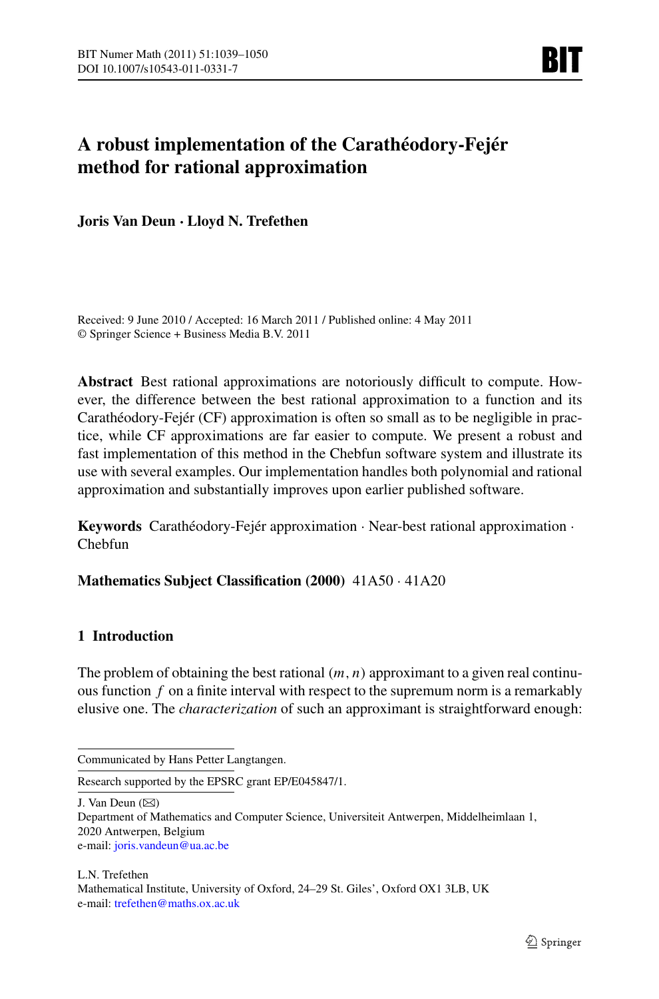# **A robust implementation of the Carathéodory-Fejér method for rational approximation**

**Joris Van Deun · Lloyd N. Trefethen**

Received: 9 June 2010 / Accepted: 16 March 2011 / Published online: 4 May 2011 © Springer Science + Business Media B.V. 2011

**Abstract** Best rational approximations are notoriously difficult to compute. However, the difference between the best rational approximation to a function and its Carathéodory-Fejér (CF) approximation is often so small as to be negligible in practice, while CF approximations are far easier to compute. We present a robust and fast implementation of this method in the Chebfun software system and illustrate its use with several examples. Our implementation handles both polynomial and rational approximation and substantially improves upon earlier published software.

**Keywords** Carathéodory-Fejér approximation · Near-best rational approximation · Chebfun

**Mathematics Subject Classification (2000)** 41A50 · 41A20

### **1 Introduction**

The problem of obtaining the best rational  $(m, n)$  approximant to a given real continuous function *f* on a finite interval with respect to the supremum norm is a remarkably elusive one. The *characterization* of such an approximant is straightforward enough:

J. Van Deun  $(\boxtimes)$ 

Communicated by Hans Petter Langtangen.

Research supported by the EPSRC grant EP/E045847/1.

Department of Mathematics and Computer Science, Universiteit Antwerpen, Middelheimlaan 1, 2020 Antwerpen, Belgium e-mail: [joris.vandeun@ua.ac.be](mailto:joris.vandeun@ua.ac.be)

L.N. Trefethen Mathematical Institute, University of Oxford, 24–29 St. Giles', Oxford OX1 3LB, UK e-mail: [trefethen@maths.ox.ac.uk](mailto:trefethen@maths.ox.ac.uk)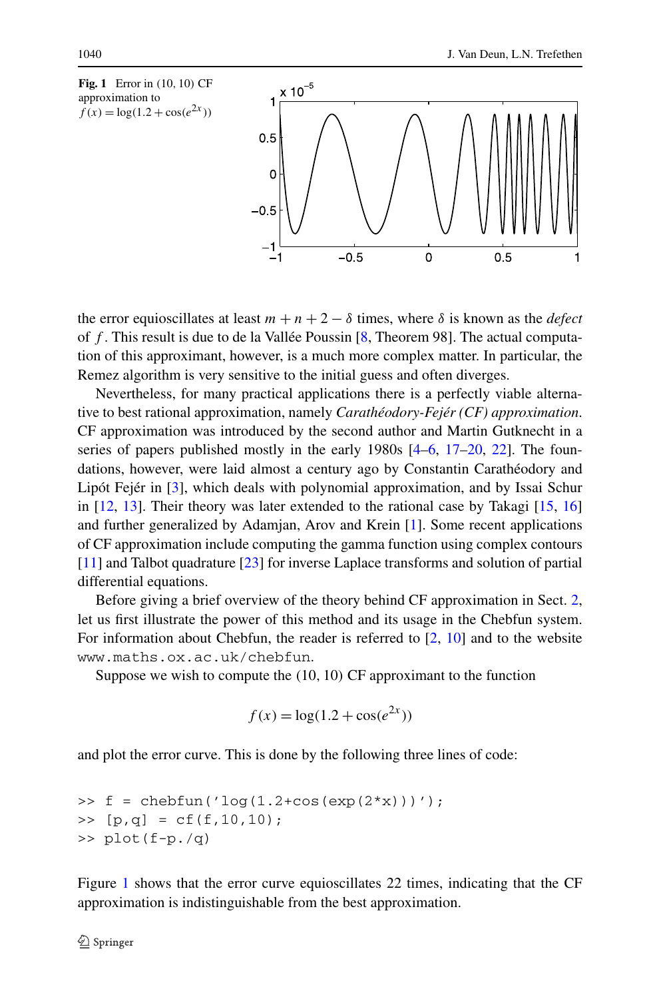<span id="page-1-0"></span>

the error equioscillates at least  $m + n + 2 - \delta$  times, where  $\delta$  is known as the *defect* of *f* . This result is due to de la Vallée Poussin [\[8](#page-10-0), Theorem 98]. The actual computation of this approximant, however, is a much more complex matter. In particular, the Remez algorithm is very sensitive to the initial guess and often diverges.

Nevertheless, for many practical applications there is a perfectly viable alternative to best rational approximation, namely *Carathéodory-Fejér (CF) approximation*. CF approximation was introduced by the second author and Martin Gutknecht in a series of papers published mostly in the early  $1980s$   $[4-6, 17-20, 22]$  $[4-6, 17-20, 22]$  $[4-6, 17-20, 22]$  $[4-6, 17-20, 22]$  $[4-6, 17-20, 22]$  $[4-6, 17-20, 22]$  $[4-6, 17-20, 22]$ . The foundations, however, were laid almost a century ago by Constantin Carathéodory and Lipót Fejér in [[3\]](#page-10-5), which deals with polynomial approximation, and by Issai Schur in [\[12](#page-10-6), [13\]](#page-10-7). Their theory was later extended to the rational case by Takagi [[15,](#page-10-8) [16](#page-10-9)] and further generalized by Adamjan, Arov and Krein [\[1](#page-10-10)]. Some recent applications of CF approximation include computing the gamma function using complex contours [\[11](#page-10-11)] and Talbot quadrature [[23\]](#page-11-1) for inverse Laplace transforms and solution of partial differential equations.

Before giving a brief overview of the theory behind CF approximation in Sect. [2](#page-2-0), let us first illustrate the power of this method and its usage in the Chebfun system. For information about Chebfun, the reader is referred to [[2,](#page-10-12) [10\]](#page-10-13) and to the website www.maths.ox.ac.uk/chebfun.

Suppose we wish to compute the *(*10*,* 10*)* CF approximant to the function

$$
f(x) = \log(1.2 + \cos(e^{2x}))
$$

and plot the error curve. This is done by the following three lines of code:

>> f = chebfun('log(1.2+cos(exp(2\*x)))'); >> [p,q] = cf(f,10,10); >> plot(f-p./q)

Figure [1](#page-1-0) shows that the error curve equioscillates 22 times, indicating that the CF approximation is indistinguishable from the best approximation.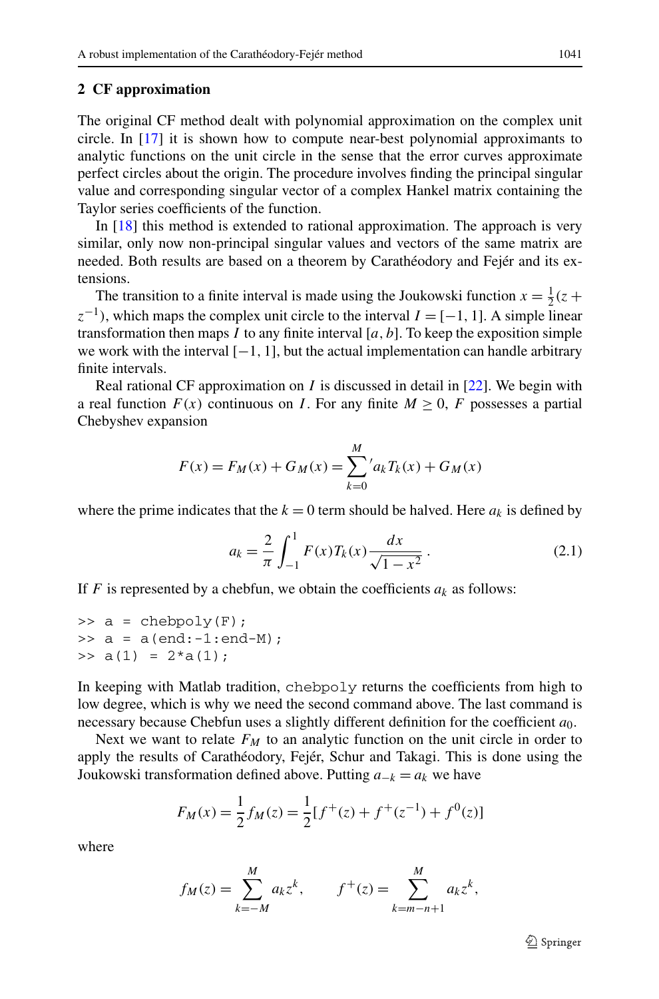#### <span id="page-2-0"></span>**2 CF approximation**

The original CF method dealt with polynomial approximation on the complex unit circle. In [[17\]](#page-10-3) it is shown how to compute near-best polynomial approximants to analytic functions on the unit circle in the sense that the error curves approximate perfect circles about the origin. The procedure involves finding the principal singular value and corresponding singular vector of a complex Hankel matrix containing the Taylor series coefficients of the function.

In [[18\]](#page-10-14) this method is extended to rational approximation. The approach is very similar, only now non-principal singular values and vectors of the same matrix are needed. Both results are based on a theorem by Carathéodory and Fejér and its extensions.

The transition to a finite interval is made using the Joukowski function  $x = \frac{1}{2}(z +$  $z^{-1}$ , which maps the complex unit circle to the interval  $I = [-1, 1]$ . A simple linear transformation then maps  $I$  to any finite interval  $[a, b]$ . To keep the exposition simple we work with the interval [−1*,* 1], but the actual implementation can handle arbitrary finite intervals.

Real rational CF approximation on *I* is discussed in detail in [\[22](#page-11-0)]. We begin with a real function  $F(x)$  continuous on *I*. For any finite  $M \geq 0$ , *F* possesses a partial Chebyshev expansion

$$
F(x) = F_M(x) + G_M(x) = \sum_{k=0}^{M} 'a_k T_k(x) + G_M(x)
$$

where the prime indicates that the  $k = 0$  term should be halved. Here  $a_k$  is defined by

$$
a_k = \frac{2}{\pi} \int_{-1}^{1} F(x) T_k(x) \frac{dx}{\sqrt{1 - x^2}}.
$$
 (2.1)

If *F* is represented by a chebfun, we obtain the coefficients  $a_k$  as follows:

 $\Rightarrow$  a = chebpoly(F);  $\Rightarrow$  a = a(end:-1:end-M);  $\Rightarrow$  a(1) = 2\*a(1);

In keeping with Matlab tradition, chebpoly returns the coefficients from high to low degree, which is why we need the second command above. The last command is necessary because Chebfun uses a slightly different definition for the coefficient *a*0.

Next we want to relate  $F_M$  to an analytic function on the unit circle in order to apply the results of Carathéodory, Fejér, Schur and Takagi. This is done using the Joukowski transformation defined above. Putting  $a_{-k} = a_k$  we have

$$
F_M(x) = \frac{1}{2} f_M(z) = \frac{1}{2} [f^+(z) + f^+(z^{-1}) + f^0(z)]
$$

where

$$
f_M(z) = \sum_{k=-M}^{M} a_k z^k, \qquad f^+(z) = \sum_{k=m-n+1}^{M} a_k z^k,
$$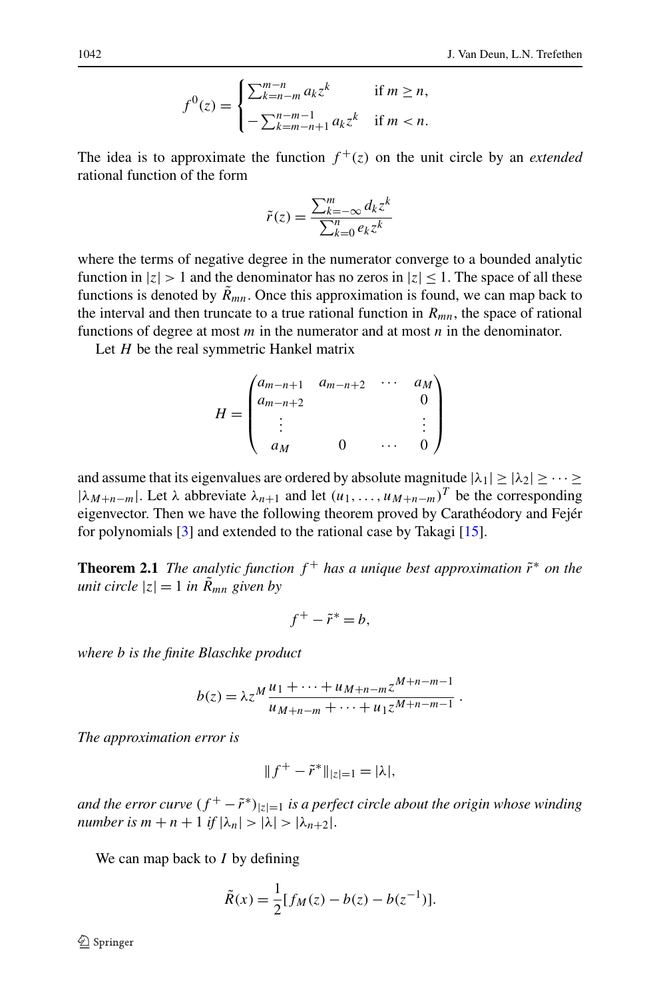$$
f^{0}(z) = \begin{cases} \sum_{k=n-m}^{m-n} a_{k} z^{k} & \text{if } m \geq n, \\ -\sum_{k=m-n+1}^{n-m-1} a_{k} z^{k} & \text{if } m < n. \end{cases}
$$

The idea is to approximate the function  $f^+(z)$  on the unit circle by an *extended* rational function of the form

$$
\tilde{r}(z) = \frac{\sum_{k=-\infty}^{m} d_k z^k}{\sum_{k=0}^{n} e_k z^k}
$$

where the terms of negative degree in the numerator converge to a bounded analytic function in  $|z| > 1$  and the denominator has no zeros in  $|z| \leq 1$ . The space of all these functions is denoted by  $\tilde{R}_{mn}$ . Once this approximation is found, we can map back to the interval and then truncate to a true rational function in  $R_{mn}$ , the space of rational functions of degree at most *m* in the numerator and at most *n* in the denominator.

Let *H* be the real symmetric Hankel matrix

$$
H = \begin{pmatrix} a_{m-n+1} & a_{m-n+2} & \cdots & a_M \\ a_{m-n+2} & & & 0 \\ \vdots & & & \vdots \\ a_M & & 0 & \cdots & 0 \end{pmatrix}
$$

and assume that its eigenvalues are ordered by absolute magnitude  $|\lambda_1| \geq |\lambda_2| \geq \cdots \geq$  $|\lambda_{M+n-m}|$ . Let  $\lambda$  abbreviate  $\lambda_{n+1}$  and let  $(u_1, \ldots, u_{M+n-m})^T$  be the corresponding eigenvector. Then we have the following theorem proved by Carathéodory and Fejér for polynomials  $[3]$  $[3]$  and extended to the rational case by Takagi  $[15]$  $[15]$ .

**Theorem 2.1** *The analytic function*  $f^+$  *has a unique best approximation*  $\tilde{r}^*$  *on the unit circle*  $|z| = 1$  *in*  $\tilde{R}_{mn}$  *given by* 

$$
f^+ - \tilde{r}^* = b,
$$

*where b is the finite Blaschke product*

$$
b(z) = \lambda z^M \frac{u_1 + \dots + u_{M+n-m} z^{M+n-m-1}}{u_{M+n-m} + \dots + u_1 z^{M+n-m-1}}.
$$

*The approximation error is*

$$
||f^+ - \tilde{r}^*||_{|z|=1} = |\lambda|,
$$

*and the error curve*  $(f^+ - \tilde{r}^*)_{|z|=1}$  *is a perfect circle about the origin whose winding number is*  $m + n + 1$  *if*  $|\lambda_n| > |\lambda| > |\lambda_{n+2}|$ .

We can map back to *I* by defining

$$
\tilde{R}(x) = \frac{1}{2} [f_M(z) - b(z) - b(z^{-1})].
$$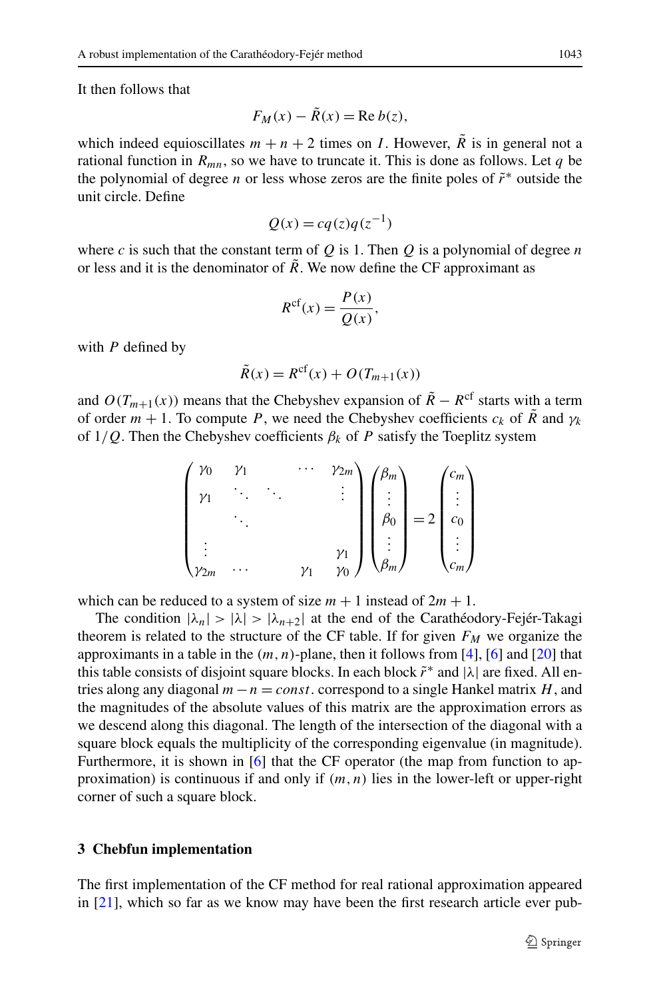It then follows that

$$
F_M(x) - \tilde{R}(x) = \text{Re } b(z),
$$

which indeed equioscillates  $m + n + 2$  times on *I*. However,  $\overline{R}$  is in general not a rational function in  $R_{mn}$ , so we have to truncate it. This is done as follows. Let q be the polynomial of degree *n* or less whose zeros are the finite poles of *r*˜<sup>∗</sup> outside the unit circle. Define

$$
Q(x) = cq(z)q(z^{-1})
$$

where *c* is such that the constant term of  $Q$  is 1. Then  $Q$  is a polynomial of degree  $n$ or less and it is the denominator of  $\tilde{R}$ . We now define the CF approximant as

$$
R^{\rm cf}(x) = \frac{P(x)}{Q(x)},
$$

with *P* defined by

$$
\tilde{R}(x) = R^{\text{cf}}(x) + O(T_{m+1}(x))
$$

and  $O(T_{m+1}(x))$  means that the Chebyshev expansion of  $\tilde{R} - R^{\text{cf}}$  starts with a term of order  $m + 1$ . To compute *P*, we need the Chebyshev coefficients  $c_k$  of  $\tilde{R}$  and  $\gamma_k$ of  $1/Q$ . Then the Chebyshev coefficients  $\beta_k$  of P satisfy the Toeplitz system

$$
\begin{pmatrix}\n\gamma_0 & \gamma_1 & \cdots & \gamma_{2m} \\
\gamma_1 & \ddots & \ddots & & \vdots \\
\vdots & & & \ddots \\
\gamma_{2m} & \cdots & & & \gamma_1\n\end{pmatrix}\n\begin{pmatrix}\n\beta_m \\
\vdots \\
\beta_0 \\
\vdots \\
\beta_m\n\end{pmatrix} = 2 \begin{pmatrix}\n c_m \\
\vdots \\
c_0 \\
\vdots \\
c_m\n\end{pmatrix}
$$

which can be reduced to a system of size  $m + 1$  instead of  $2m + 1$ .

The condition  $|\lambda_n| > |\lambda| > |\lambda_{n+2}|$  at the end of the Carathéodory-Fejér-Takagi theorem is related to the structure of the CF table. If for given  $F<sub>M</sub>$  we organize the approximants in a table in the *(m,n)*-plane, then it follows from [[4\]](#page-10-1), [\[6](#page-10-2)] and [\[20\]](#page-10-4) that this table consists of disjoint square blocks. In each block  $\tilde{r}^*$  and  $|\lambda|$  are fixed. All entries along any diagonal *m*−*n* = *const.* correspond to a single Hankel matrix *H*, and the magnitudes of the absolute values of this matrix are the approximation errors as we descend along this diagonal. The length of the intersection of the diagonal with a square block equals the multiplicity of the corresponding eigenvalue (in magnitude). Furthermore, it is shown in [\[6](#page-10-2)] that the CF operator (the map from function to approximation) is continuous if and only if *(m,n)* lies in the lower-left or upper-right corner of such a square block.

#### **3 Chebfun implementation**

The first implementation of the CF method for real rational approximation appeared in [[21\]](#page-10-15), which so far as we know may have been the first research article ever pub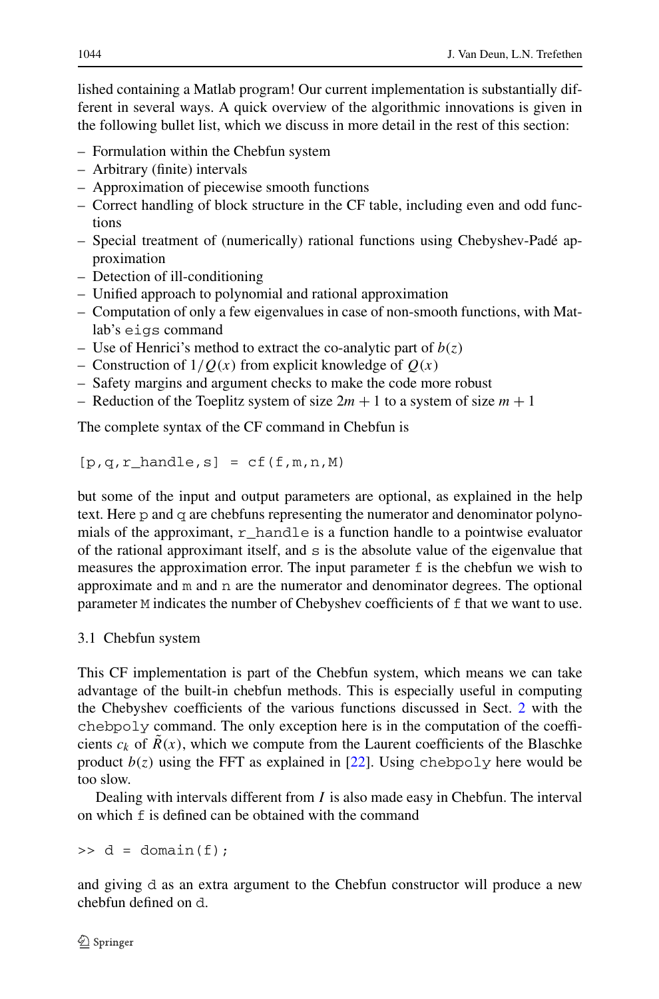lished containing a Matlab program! Our current implementation is substantially different in several ways. A quick overview of the algorithmic innovations is given in the following bullet list, which we discuss in more detail in the rest of this section:

- Formulation within the Chebfun system
- Arbitrary (finite) intervals
- Approximation of piecewise smooth functions
- Correct handling of block structure in the CF table, including even and odd functions
- Special treatment of (numerically) rational functions using Chebyshev-Padé approximation
- Detection of ill-conditioning
- Unified approach to polynomial and rational approximation
- Computation of only a few eigenvalues in case of non-smooth functions, with Matlab's eigs command
- Use of Henrici's method to extract the co-analytic part of  $b(z)$
- Construction of 1*/Q(x)* from explicit knowledge of *Q(x)*
- Safety margins and argument checks to make the code more robust
- Reduction of the Toeplitz system of size  $2m + 1$  to a system of size  $m + 1$

The complete syntax of the CF command in Chebfun is

 $[p,q,r_\text{landle,s}] = cf(f,m,n,M)$ 

but some of the input and output parameters are optional, as explained in the help text. Here p and q are chebfuns representing the numerator and denominator polynomials of the approximant,  $r_{\text{parallel}}$  is a function handle to a pointwise evaluator of the rational approximant itself, and  $s$  is the absolute value of the eigenvalue that measures the approximation error. The input parameter  $f$  is the chebfun we wish to approximate and m and n are the numerator and denominator degrees. The optional parameter M indicates the number of Chebyshev coefficients of f that we want to use.

### 3.1 Chebfun system

This CF implementation is part of the Chebfun system, which means we can take advantage of the built-in chebfun methods. This is especially useful in computing the Chebyshev coefficients of the various functions discussed in Sect. [2](#page-2-0) with the chebpoly command. The only exception here is in the computation of the coefficients  $c_k$  of  $R(x)$ , which we compute from the Laurent coefficients of the Blaschke product  $b(z)$  using the FFT as explained in [[22\]](#page-11-0). Using chebpoly here would be too slow.

Dealing with intervals different from *I* is also made easy in Chebfun. The interval on which f is defined can be obtained with the command

 $\Rightarrow$  d = domain(f);

and giving d as an extra argument to the Chebfun constructor will produce a new chebfun defined on d.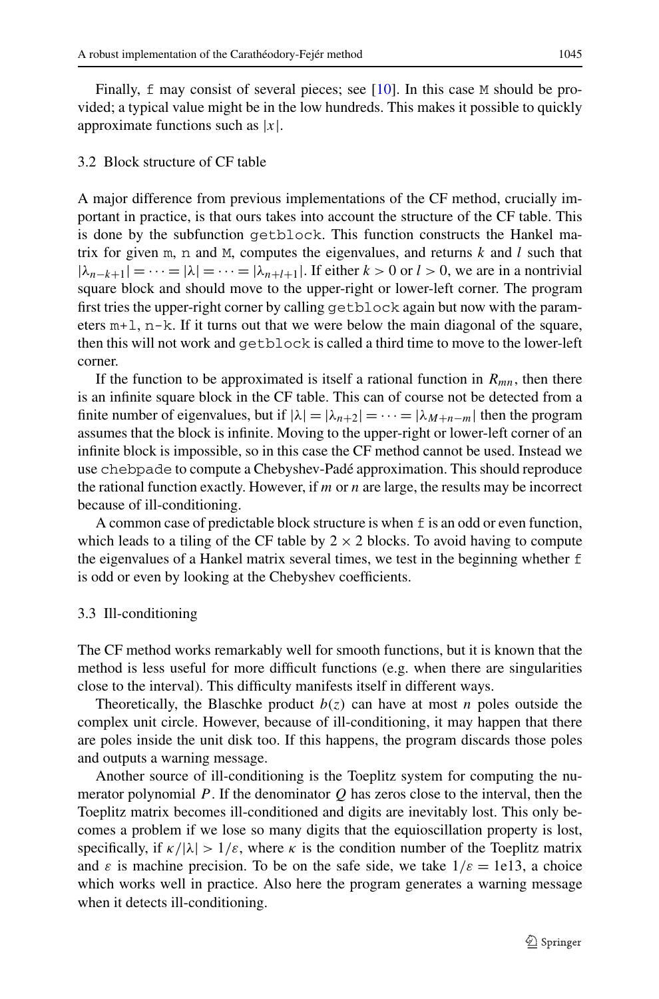#### 3.2 Block structure of CF table

A major difference from previous implementations of the CF method, crucially important in practice, is that ours takes into account the structure of the CF table. This is done by the subfunction getblock. This function constructs the Hankel matrix for given m, n and M, computes the eigenvalues, and returns  $k$  and  $l$  such that  $|\lambda_{n-k+1}| = \cdots = |\lambda| = \cdots = |\lambda_{n+l+1}|$ . If either  $k > 0$  or  $l > 0$ , we are in a nontrivial square block and should move to the upper-right or lower-left corner. The program first tries the upper-right corner by calling getblock again but now with the parameters  $m+1$ ,  $n-k$ . If it turns out that we were below the main diagonal of the square, then this will not work and getblock is called a third time to move to the lower-left corner.

If the function to be approximated is itself a rational function in  $R_{mn}$ , then there is an infinite square block in the CF table. This can of course not be detected from a finite number of eigenvalues, but if  $|\lambda| = |\lambda_{n+2}| = \cdots = |\lambda_{m+n-m}|$  then the program assumes that the block is infinite. Moving to the upper-right or lower-left corner of an infinite block is impossible, so in this case the CF method cannot be used. Instead we use chebpade to compute a Chebyshev-Padé approximation. This should reproduce the rational function exactly. However, if *m* or *n* are large, the results may be incorrect because of ill-conditioning.

A common case of predictable block structure is when  $f$  is an odd or even function, which leads to a tiling of the CF table by  $2 \times 2$  blocks. To avoid having to compute the eigenvalues of a Hankel matrix several times, we test in the beginning whether f is odd or even by looking at the Chebyshev coefficients.

#### 3.3 Ill-conditioning

The CF method works remarkably well for smooth functions, but it is known that the method is less useful for more difficult functions (e.g. when there are singularities close to the interval). This difficulty manifests itself in different ways.

Theoretically, the Blaschke product  $b(z)$  can have at most *n* poles outside the complex unit circle. However, because of ill-conditioning, it may happen that there are poles inside the unit disk too. If this happens, the program discards those poles and outputs a warning message.

Another source of ill-conditioning is the Toeplitz system for computing the numerator polynomial *P* . If the denominator *Q* has zeros close to the interval, then the Toeplitz matrix becomes ill-conditioned and digits are inevitably lost. This only becomes a problem if we lose so many digits that the equioscillation property is lost, specifically, if  $\kappa/|\lambda| > 1/\varepsilon$ , where  $\kappa$  is the condition number of the Toeplitz matrix and  $\varepsilon$  is machine precision. To be on the safe side, we take  $1/\varepsilon = 1e13$ , a choice which works well in practice. Also here the program generates a warning message when it detects ill-conditioning.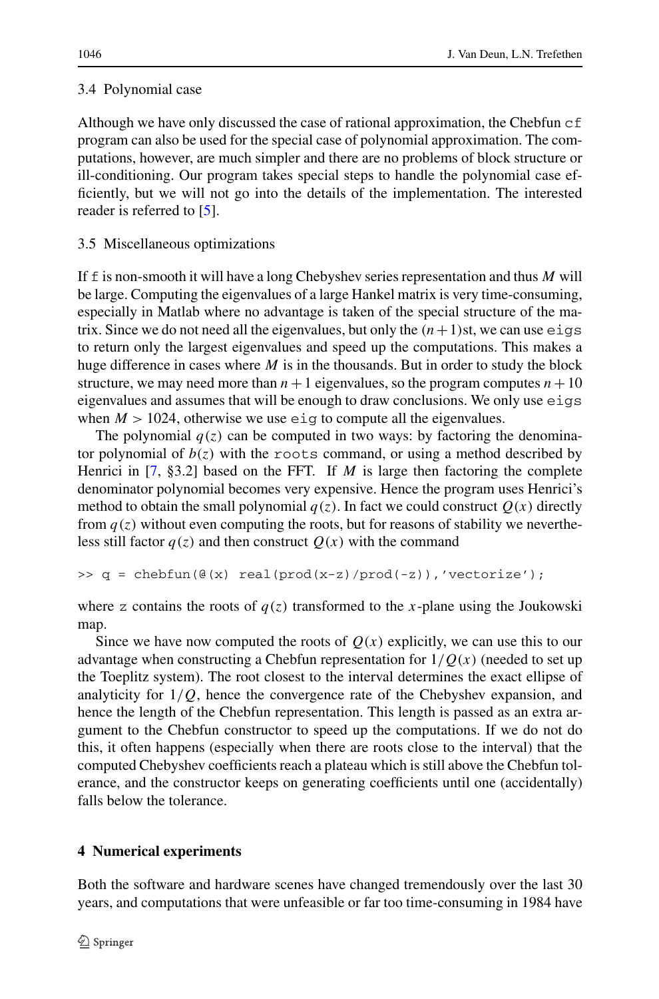### 3.4 Polynomial case

Although we have only discussed the case of rational approximation, the Chebfun  $\sigma$  f program can also be used for the special case of polynomial approximation. The computations, however, are much simpler and there are no problems of block structure or ill-conditioning. Our program takes special steps to handle the polynomial case efficiently, but we will not go into the details of the implementation. The interested reader is referred to [[5\]](#page-10-16).

### 3.5 Miscellaneous optimizations

If f is non-smooth it will have a long Chebyshev series representation and thus *M* will be large. Computing the eigenvalues of a large Hankel matrix is very time-consuming, especially in Matlab where no advantage is taken of the special structure of the matrix. Since we do not need all the eigenvalues, but only the  $(n+1)$ st, we can use eigs to return only the largest eigenvalues and speed up the computations. This makes a huge difference in cases where *M* is in the thousands. But in order to study the block structure, we may need more than  $n+1$  eigenvalues, so the program computes  $n+10$ eigenvalues and assumes that will be enough to draw conclusions. We only use eigs when  $M > 1024$ , otherwise we use eig to compute all the eigenvalues.

The polynomial  $q(z)$  can be computed in two ways: by factoring the denominator polynomial of  $b(z)$  with the roots command, or using a method described by Henrici in  $[7, §3.2]$  $[7, §3.2]$  based on the FFT. If *M* is large then factoring the complete denominator polynomial becomes very expensive. Hence the program uses Henrici's method to obtain the small polynomial  $q(z)$ . In fact we could construct  $Q(x)$  directly from  $q(z)$  without even computing the roots, but for reasons of stability we nevertheless still factor  $q(z)$  and then construct  $Q(x)$  with the command

```
\Rightarrow q = chebfun(\theta(x) real(prod(x-z)/prod(-z)),'vectorize');
```
where z contains the roots of  $q(z)$  transformed to the *x*-plane using the Joukowski map.

Since we have now computed the roots of  $Q(x)$  explicitly, we can use this to our advantage when constructing a Chebfun representation for  $1/Q(x)$  (needed to set up the Toeplitz system). The root closest to the interval determines the exact ellipse of analyticity for 1*/Q*, hence the convergence rate of the Chebyshev expansion, and hence the length of the Chebfun representation. This length is passed as an extra argument to the Chebfun constructor to speed up the computations. If we do not do this, it often happens (especially when there are roots close to the interval) that the computed Chebyshev coefficients reach a plateau which is still above the Chebfun tolerance, and the constructor keeps on generating coefficients until one (accidentally) falls below the tolerance.

## **4 Numerical experiments**

Both the software and hardware scenes have changed tremendously over the last 30 years, and computations that were unfeasible or far too time-consuming in 1984 have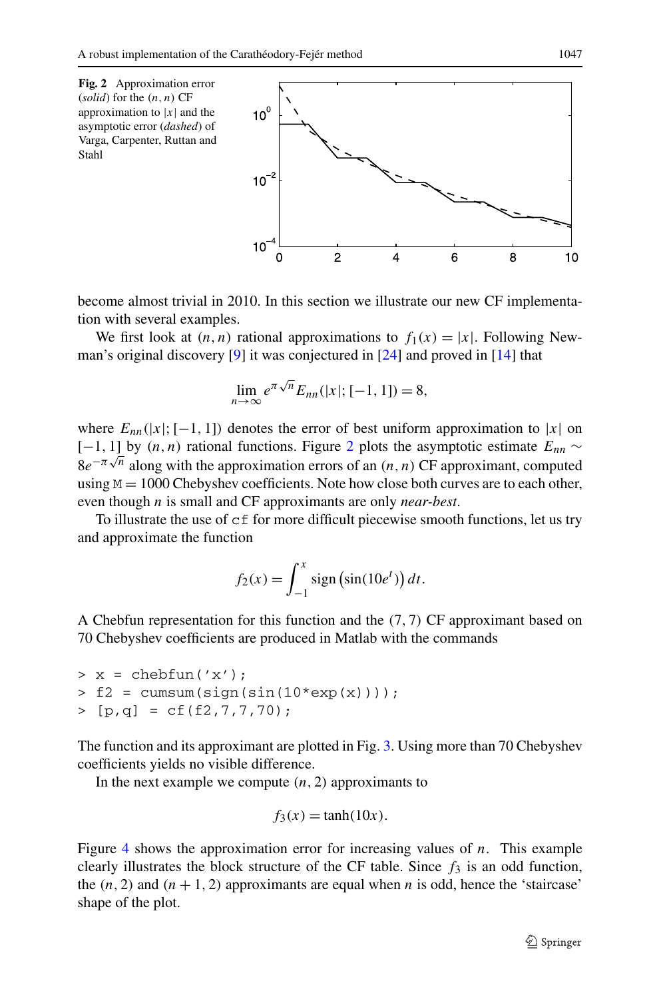<span id="page-8-0"></span>

become almost trivial in 2010. In this section we illustrate our new CF implementation with several examples.

We first look at  $(n, n)$  rational approximations to  $f_1(x) = |x|$ . Following Newman's original discovery [[9\]](#page-10-18) it was conjectured in [\[24](#page-11-2)] and proved in [\[14](#page-10-19)] that

$$
\lim_{n \to \infty} e^{\pi \sqrt{n}} E_{nn}(|x|; [-1, 1]) = 8,
$$

where  $E_{nn}(|x|;[-1, 1])$  denotes the error of best uniform approximation to |*x*| on [−1, 1] by  $(n, n)$  rational functions. Figure [2](#page-8-0) plots the asymptotic estimate  $E_{nn}$  ~  $8e^{-\pi\sqrt{n}}$  along with the approximation errors of an *(n, n)* CF approximant, computed using  $M = 1000$  Chebyshev coefficients. Note how close both curves are to each other, even though *n* is small and CF approximants are only *near-best*.

To illustrate the use of cf for more difficult piecewise smooth functions, let us try and approximate the function

$$
f_2(x) = \int_{-1}^x \text{sign}\left(\sin(10e^t)\right) dt.
$$

A Chebfun representation for this function and the *(*7*,* 7*)* CF approximant based on 70 Chebyshev coefficients are produced in Matlab with the commands

 $> x = \text{chebfun}(x')$ ;  $> f2 = \text{cumsum}(\text{sign}(\text{sin}(10*exp(x))))$ ;  $> [p,q] = cf(f2,7,7,70);$ 

The function and its approximant are plotted in Fig. [3.](#page-9-0) Using more than 70 Chebyshev coefficients yields no visible difference.

In the next example we compute  $(n, 2)$  approximants to

$$
f_3(x) = \tanh(10x).
$$

Figure [4](#page-9-1) shows the approximation error for increasing values of *n*. This example clearly illustrates the block structure of the CF table. Since  $f_3$  is an odd function, the  $(n, 2)$  and  $(n + 1, 2)$  approximants are equal when *n* is odd, hence the 'staircase' shape of the plot.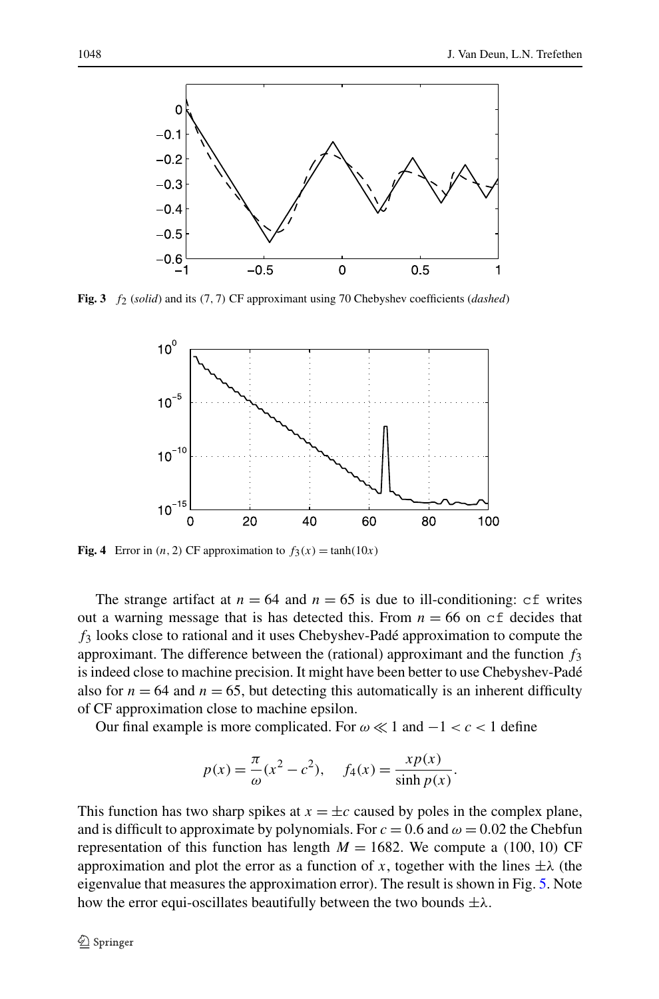

<span id="page-9-1"></span><span id="page-9-0"></span>**Fig. 3** *f*2 (*solid*) and its *(*7*,* 7*)* CF approximant using 70 Chebyshev coefficients (*dashed*)



**Fig. 4** Error in  $(n, 2)$  CF approximation to  $f_3(x) = \tanh(10x)$ 

The strange artifact at  $n = 64$  and  $n = 65$  is due to ill-conditioning: cf writes out a warning message that is has detected this. From  $n = 66$  on  $cf$  decides that *f*<sup>3</sup> looks close to rational and it uses Chebyshev-Padé approximation to compute the approximant. The difference between the (rational) approximant and the function *f*<sup>3</sup> is indeed close to machine precision. It might have been better to use Chebyshev-Padé also for  $n = 64$  and  $n = 65$ , but detecting this automatically is an inherent difficulty of CF approximation close to machine epsilon.

Our final example is more complicated. For  $\omega \ll 1$  and  $-1 < c < 1$  define

$$
p(x) = \frac{\pi}{\omega}(x^2 - c^2), \quad f_4(x) = \frac{xp(x)}{\sinh p(x)}.
$$

This function has two sharp spikes at  $x = \pm c$  caused by poles in the complex plane, and is difficult to approximate by polynomials. For  $c = 0.6$  and  $\omega = 0.02$  the Chebfun representation of this function has length  $M = 1682$ . We compute a (100, 10) CF approximation and plot the error as a function of *x*, together with the lines  $\pm \lambda$  (the eigenvalue that measures the approximation error). The result is shown in Fig. [5.](#page-10-20) Note how the error equi-oscillates beautifully between the two bounds ±*λ*.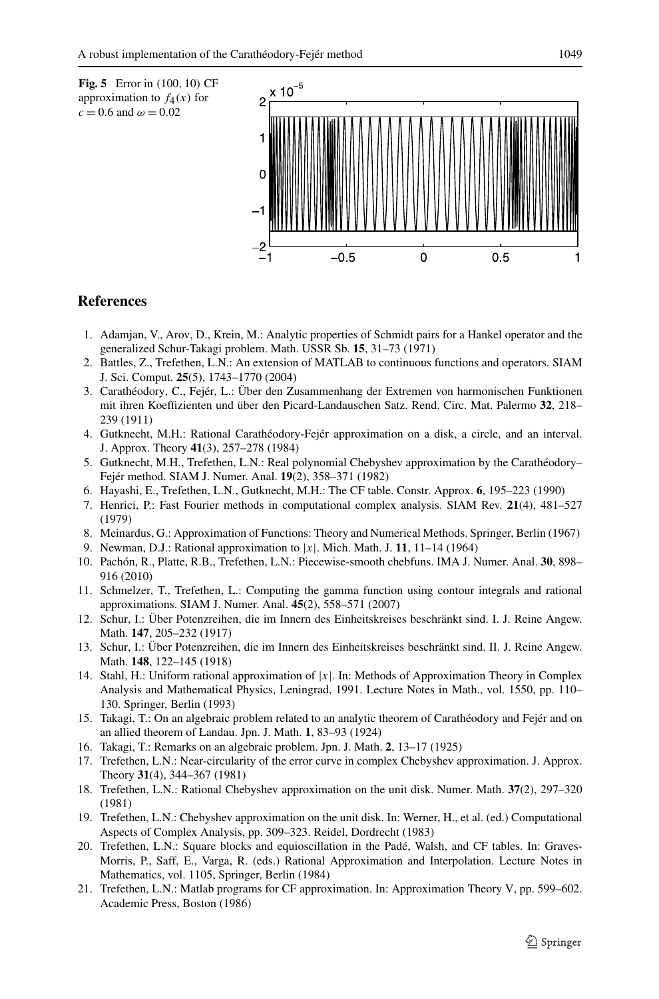<span id="page-10-20"></span><span id="page-10-10"></span>

### <span id="page-10-16"></span><span id="page-10-12"></span><span id="page-10-5"></span><span id="page-10-1"></span>**References**

- 1. Adamjan, V., Arov, D., Krein, M.: Analytic properties of Schmidt pairs for a Hankel operator and the generalized Schur-Takagi problem. Math. USSR Sb. **15**, 31–73 (1971)
- <span id="page-10-17"></span><span id="page-10-2"></span>2. Battles, Z., Trefethen, L.N.: An extension of MATLAB to continuous functions and operators. SIAM J. Sci. Comput. **25**(5), 1743–1770 (2004)
- <span id="page-10-18"></span><span id="page-10-0"></span>3. Carathéodory, C., Fejér, L.: Über den Zusammenhang der Extremen von harmonischen Funktionen mit ihren Koeffizienten und über den Picard-Landauschen Satz. Rend. Circ. Mat. Palermo **32**, 218– 239 (1911)
- <span id="page-10-13"></span>4. Gutknecht, M.H.: Rational Carathéodory-Fejér approximation on a disk, a circle, and an interval. J. Approx. Theory **41**(3), 257–278 (1984)
- <span id="page-10-11"></span>5. Gutknecht, M.H., Trefethen, L.N.: Real polynomial Chebyshev approximation by the Carathéodory– Fejér method. SIAM J. Numer. Anal. **19**(2), 358–371 (1982)
- <span id="page-10-6"></span>6. Hayashi, E., Trefethen, L.N., Gutknecht, M.H.: The CF table. Constr. Approx. **6**, 195–223 (1990)
- <span id="page-10-7"></span>7. Henrici, P.: Fast Fourier methods in computational complex analysis. SIAM Rev. **21**(4), 481–527 (1979)
- 8. Meinardus, G.: Approximation of Functions: Theory and Numerical Methods. Springer, Berlin (1967)
- 9. Newman, D.J.: Rational approximation to |*x*|. Mich. Math. J. **11**, 11–14 (1964)
- <span id="page-10-19"></span>10. Pachón, R., Platte, R.B., Trefethen, L.N.: Piecewise-smooth chebfuns. IMA J. Numer. Anal. **30**, 898– 916 (2010)
- <span id="page-10-8"></span>11. Schmelzer, T., Trefethen, L.: Computing the gamma function using contour integrals and rational approximations. SIAM J. Numer. Anal. **45**(2), 558–571 (2007)
- <span id="page-10-9"></span><span id="page-10-3"></span>12. Schur, I.: Über Potenzreihen, die im Innern des Einheitskreises beschränkt sind. I. J. Reine Angew. Math. **147**, 205–232 (1917)
- <span id="page-10-14"></span>13. Schur, I.: Über Potenzreihen, die im Innern des Einheitskreises beschränkt sind. II. J. Reine Angew. Math. **148**, 122–145 (1918)
- 14. Stahl, H.: Uniform rational approximation of |*x*|. In: Methods of Approximation Theory in Complex Analysis and Mathematical Physics, Leningrad, 1991. Lecture Notes in Math., vol. 1550, pp. 110– 130. Springer, Berlin (1993)
- <span id="page-10-4"></span>15. Takagi, T.: On an algebraic problem related to an analytic theorem of Carathéodory and Fejér and on an allied theorem of Landau. Jpn. J. Math. **1**, 83–93 (1924)
- <span id="page-10-15"></span>16. Takagi, T.: Remarks on an algebraic problem. Jpn. J. Math. **2**, 13–17 (1925)
- 17. Trefethen, L.N.: Near-circularity of the error curve in complex Chebyshev approximation. J. Approx. Theory **31**(4), 344–367 (1981)
- 18. Trefethen, L.N.: Rational Chebyshev approximation on the unit disk. Numer. Math. **37**(2), 297–320 (1981)
- 19. Trefethen, L.N.: Chebyshev approximation on the unit disk. In: Werner, H., et al. (ed.) Computational Aspects of Complex Analysis, pp. 309–323. Reidel, Dordrecht (1983)
- 20. Trefethen, L.N.: Square blocks and equioscillation in the Padé, Walsh, and CF tables. In: Graves-Morris, P., Saff, E., Varga, R. (eds.) Rational Approximation and Interpolation. Lecture Notes in Mathematics, vol. 1105, Springer, Berlin (1984)
- 21. Trefethen, L.N.: Matlab programs for CF approximation. In: Approximation Theory V, pp. 599–602. Academic Press, Boston (1986)